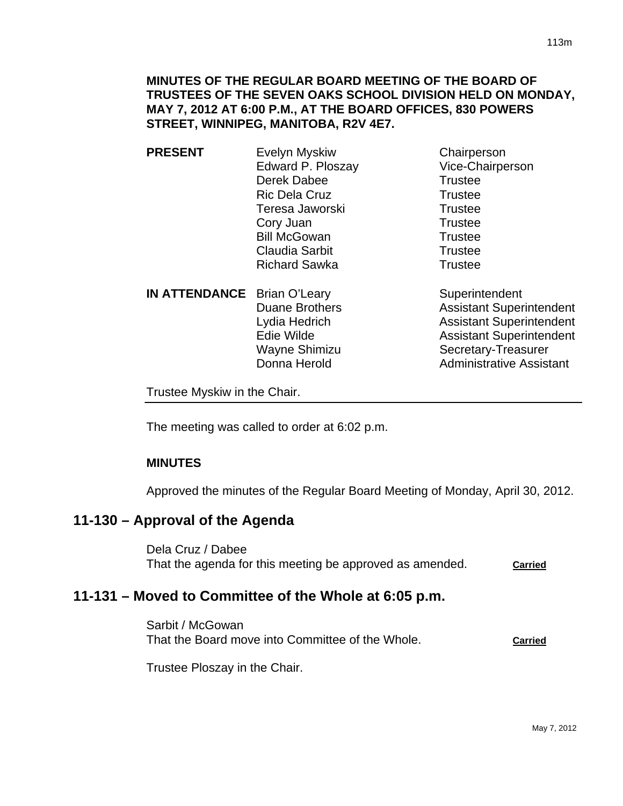**MINUTES OF THE REGULAR BOARD MEETING OF THE BOARD OF TRUSTEES OF THE SEVEN OAKS SCHOOL DIVISION HELD ON MONDAY, MAY 7, 2012 AT 6:00 P.M., AT THE BOARD OFFICES, 830 POWERS STREET, WINNIPEG, MANITOBA, R2V 4E7.** 

- **PRESENT** Evelyn Myskiw Chairperson Edward P. Ploszay Vice-Chairperson Derek Dabee Trustee Ric Dela Cruz Trustee Teresa Jaworski **Trustee** Cory Juan Trustee Bill McGowan Trustee Claudia Sarbit **Trustee** Richard Sawka Trustee
	- **IN ATTENDANCE** Brian O'Leary Superintendent Donna Herold **Administrative Assistant**

Duane Brothers **Assistant Superintendent** Lydia Hedrich **Assistant Superintendent** Edie Wilde **Assistant Superintendent** Wayne Shimizu Secretary-Treasurer

Trustee Myskiw in the Chair.

The meeting was called to order at 6:02 p.m.

## **MINUTES**

Approved the minutes of the Regular Board Meeting of Monday, April 30, 2012.

# **11-130 – Approval of the Agenda**

Dela Cruz / Dabee That the agenda for this meeting be approved as amended. **Carried**

# **11-131 – Moved to Committee of the Whole at 6:05 p.m.**

Sarbit / McGowan That the Board move into Committee of the Whole. **Carried**

Trustee Ploszay in the Chair.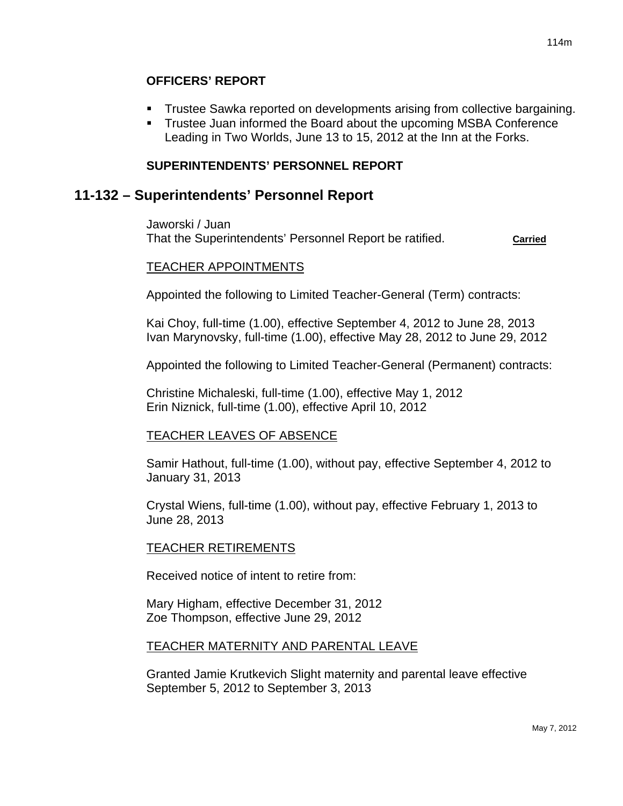## **OFFICERS' REPORT**

- Trustee Sawka reported on developments arising from collective bargaining.
- **Trustee Juan informed the Board about the upcoming MSBA Conference** Leading in Two Worlds, June 13 to 15, 2012 at the Inn at the Forks.

## **SUPERINTENDENTS' PERSONNEL REPORT**

# **11-132 – Superintendents' Personnel Report**

Jaworski / Juan That the Superintendents' Personnel Report be ratified. **Carried**

### TEACHER APPOINTMENTS

Appointed the following to Limited Teacher-General (Term) contracts:

Kai Choy, full-time (1.00), effective September 4, 2012 to June 28, 2013 Ivan Marynovsky, full-time (1.00), effective May 28, 2012 to June 29, 2012

Appointed the following to Limited Teacher-General (Permanent) contracts:

Christine Michaleski, full-time (1.00), effective May 1, 2012 Erin Niznick, full-time (1.00), effective April 10, 2012

## TEACHER LEAVES OF ABSENCE

Samir Hathout, full-time (1.00), without pay, effective September 4, 2012 to January 31, 2013

Crystal Wiens, full-time (1.00), without pay, effective February 1, 2013 to June 28, 2013

## TEACHER RETIREMENTS

Received notice of intent to retire from:

Mary Higham, effective December 31, 2012 Zoe Thompson, effective June 29, 2012

## TEACHER MATERNITY AND PARENTAL LEAVE

Granted Jamie Krutkevich Slight maternity and parental leave effective September 5, 2012 to September 3, 2013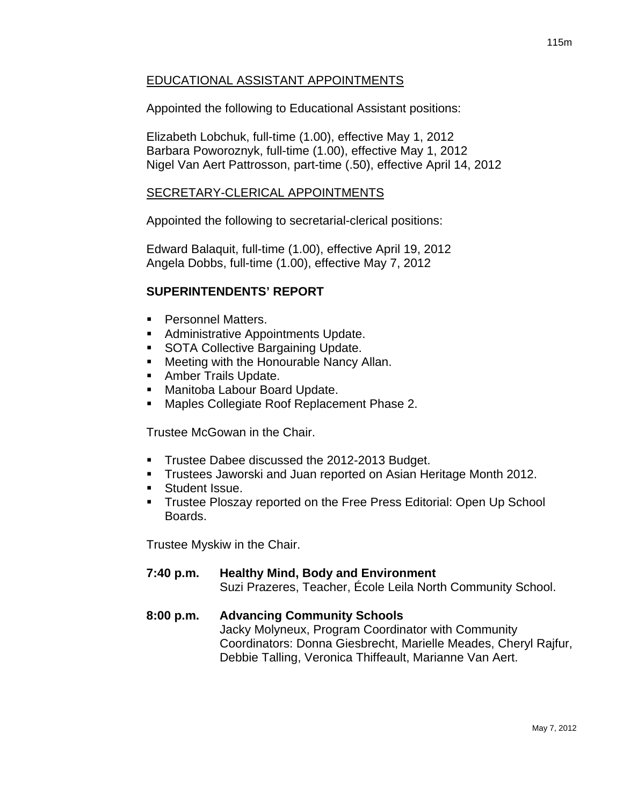# EDUCATIONAL ASSISTANT APPOINTMENTS

Appointed the following to Educational Assistant positions:

Elizabeth Lobchuk, full-time (1.00), effective May 1, 2012 Barbara Poworoznyk, full-time (1.00), effective May 1, 2012 Nigel Van Aert Pattrosson, part-time (.50), effective April 14, 2012

# SECRETARY-CLERICAL APPOINTMENTS

Appointed the following to secretarial-clerical positions:

Edward Balaquit, full-time (1.00), effective April 19, 2012 Angela Dobbs, full-time (1.00), effective May 7, 2012

# **SUPERINTENDENTS' REPORT**

- **Personnel Matters.**
- Administrative Appointments Update.
- **SOTA Collective Bargaining Update.**
- **Meeting with the Honourable Nancy Allan.**
- **Amber Trails Update.**
- **Manitoba Labour Board Update.**
- **Maples Collegiate Roof Replacement Phase 2.**

Trustee McGowan in the Chair.

- **Trustee Dabee discussed the 2012-2013 Budget.**
- **Trustees Jaworski and Juan reported on Asian Heritage Month 2012.**
- Student Issue.
- **Trustee Ploszay reported on the Free Press Editorial: Open Up School** Boards.

Trustee Myskiw in the Chair.

## **7:40 p.m. Healthy Mind, Body and Environment**

Suzi Prazeres, Teacher, École Leila North Community School.

# **8:00 p.m. Advancing Community Schools**

Jacky Molyneux, Program Coordinator with Community Coordinators: Donna Giesbrecht, Marielle Meades, Cheryl Rajfur, Debbie Talling, Veronica Thiffeault, Marianne Van Aert.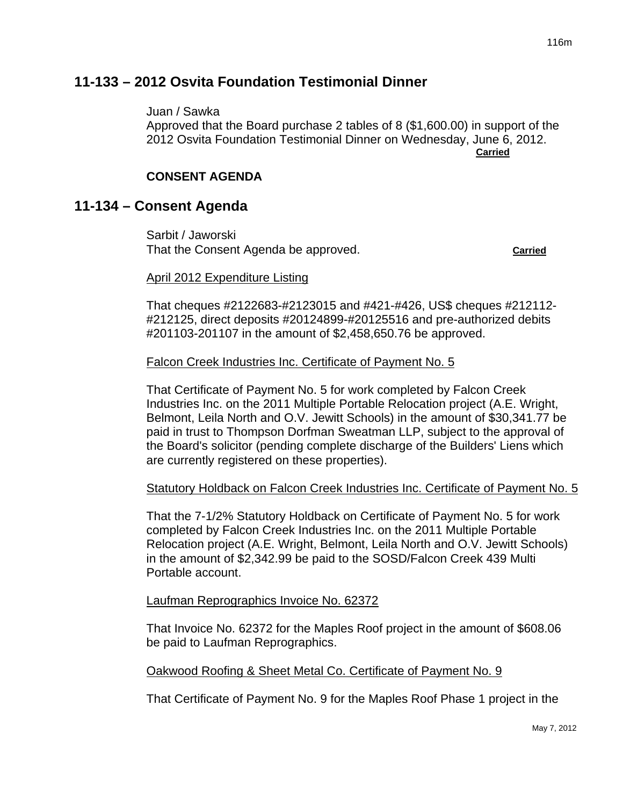# **11-133 – 2012 Osvita Foundation Testimonial Dinner**

Juan / Sawka

Approved that the Board purchase 2 tables of 8 (\$1,600.00) in support of the 2012 Osvita Foundation Testimonial Dinner on Wednesday, June 6, 2012. **Carried** Carried Communication of the Carried Carried Carried Carried Carried Carried Carried Carried Carried Carried Carried Carried Carried Carried Carried Carried Carried Carried Carried Carried Carried Carried Carried

## **CONSENT AGENDA**

# **11-134 – Consent Agenda**

Sarbit / Jaworski That the Consent Agenda be approved. **Carried**

### April 2012 Expenditure Listing

That cheques #2122683-#2123015 and #421-#426, US\$ cheques #212112- #212125, direct deposits #20124899-#20125516 and pre-authorized debits #201103-201107 in the amount of \$2,458,650.76 be approved.

### Falcon Creek Industries Inc. Certificate of Payment No. 5

That Certificate of Payment No. 5 for work completed by Falcon Creek Industries Inc. on the 2011 Multiple Portable Relocation project (A.E. Wright, Belmont, Leila North and O.V. Jewitt Schools) in the amount of \$30,341.77 be paid in trust to Thompson Dorfman Sweatman LLP, subject to the approval of the Board's solicitor (pending complete discharge of the Builders' Liens which are currently registered on these properties).

## Statutory Holdback on Falcon Creek Industries Inc. Certificate of Payment No. 5

That the 7-1/2% Statutory Holdback on Certificate of Payment No. 5 for work completed by Falcon Creek Industries Inc. on the 2011 Multiple Portable Relocation project (A.E. Wright, Belmont, Leila North and O.V. Jewitt Schools) in the amount of \$2,342.99 be paid to the SOSD/Falcon Creek 439 Multi Portable account.

### Laufman Reprographics Invoice No. 62372

That Invoice No. 62372 for the Maples Roof project in the amount of \$608.06 be paid to Laufman Reprographics.

### Oakwood Roofing & Sheet Metal Co. Certificate of Payment No. 9

That Certificate of Payment No. 9 for the Maples Roof Phase 1 project in the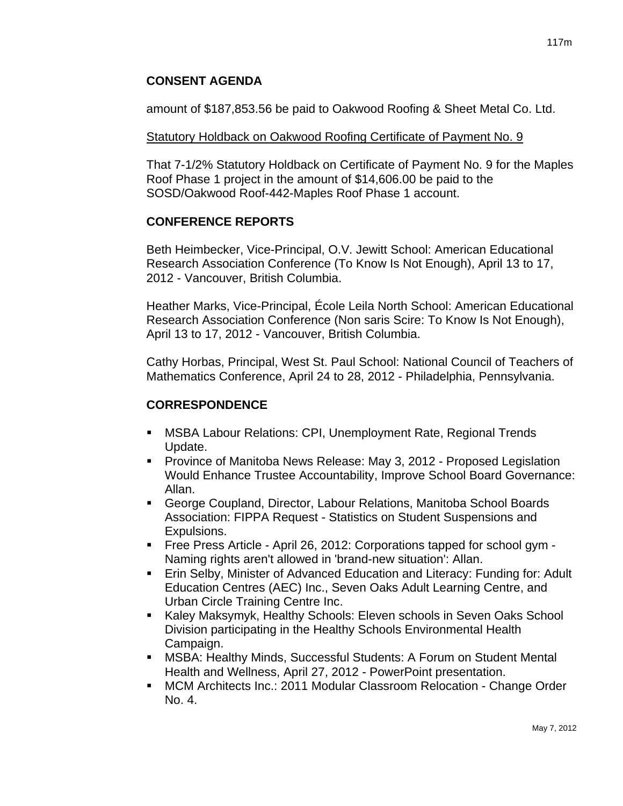## **CONSENT AGENDA**

amount of \$187,853.56 be paid to Oakwood Roofing & Sheet Metal Co. Ltd.

### Statutory Holdback on Oakwood Roofing Certificate of Payment No. 9

That 7-1/2% Statutory Holdback on Certificate of Payment No. 9 for the Maples Roof Phase 1 project in the amount of \$14,606.00 be paid to the SOSD/Oakwood Roof-442-Maples Roof Phase 1 account.

## **CONFERENCE REPORTS**

Beth Heimbecker, Vice-Principal, O.V. Jewitt School: American Educational Research Association Conference (To Know Is Not Enough), April 13 to 17, 2012 - Vancouver, British Columbia.

Heather Marks, Vice-Principal, École Leila North School: American Educational Research Association Conference (Non saris Scire: To Know Is Not Enough), April 13 to 17, 2012 - Vancouver, British Columbia.

Cathy Horbas, Principal, West St. Paul School: National Council of Teachers of Mathematics Conference, April 24 to 28, 2012 - Philadelphia, Pennsylvania.

# **CORRESPONDENCE**

- MSBA Labour Relations: CPI, Unemployment Rate, Regional Trends Update.
- **Province of Manitoba News Release: May 3, 2012 Proposed Legislation** Would Enhance Trustee Accountability, Improve School Board Governance: Allan.
- George Coupland, Director, Labour Relations, Manitoba School Boards Association: FIPPA Request - Statistics on Student Suspensions and Expulsions.
- Free Press Article April 26, 2012: Corporations tapped for school gym Naming rights aren't allowed in 'brand-new situation': Allan.
- **Erin Selby, Minister of Advanced Education and Literacy: Funding for: Adult** Education Centres (AEC) Inc., Seven Oaks Adult Learning Centre, and Urban Circle Training Centre Inc.
- Kaley Maksymyk, Healthy Schools: Eleven schools in Seven Oaks School Division participating in the Healthy Schools Environmental Health Campaign.
- MSBA: Healthy Minds, Successful Students: A Forum on Student Mental Health and Wellness, April 27, 2012 - PowerPoint presentation.
- MCM Architects Inc.: 2011 Modular Classroom Relocation Change Order No. 4.